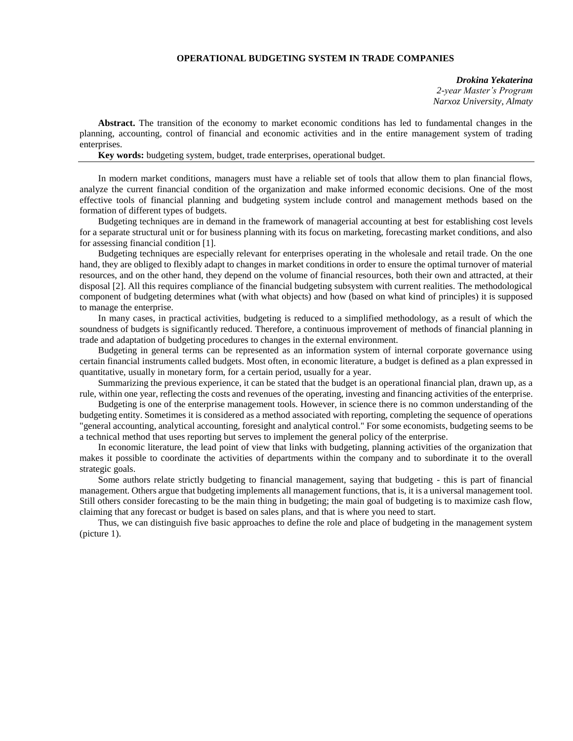## **OPERATIONAL BUDGETING SYSTEM IN TRADE COMPANIES**

*Drokina Yekaterina 2-year Master's Program Narxoz University, Almaty*

**Abstract.** The transition of the economy to market economic conditions has led to fundamental changes in the planning, accounting, control of financial and economic activities and in the entire management system of trading enterprises.

**Key words:** budgeting system, budget, trade enterprises, operational budget.

In modern market conditions, managers must have a reliable set of tools that allow them to plan financial flows, analyze the current financial condition of the organization and make informed economic decisions. One of the most effective tools of financial planning and budgeting system include control and management methods based on the formation of different types of budgets.

Budgeting techniques are in demand in the framework of managerial accounting at best for establishing cost levels for a separate structural unit or for business planning with its focus on marketing, forecasting market conditions, and also for assessing financial condition [1].

Budgeting techniques are especially relevant for enterprises operating in the wholesale and retail trade. On the one hand, they are obliged to flexibly adapt to changes in market conditions in order to ensure the optimal turnover of material resources, and on the other hand, they depend on the volume of financial resources, both their own and attracted, at their disposal [2]. All this requires compliance of the financial budgeting subsystem with current realities. The methodological component of budgeting determines what (with what objects) and how (based on what kind of principles) it is supposed to manage the enterprise.

In many cases, in practical activities, budgeting is reduced to a simplified methodology, as a result of which the soundness of budgets is significantly reduced. Therefore, a continuous improvement of methods of financial planning in trade and adaptation of budgeting procedures to changes in the external environment.

Budgeting in general terms can be represented as an information system of internal corporate governance using certain financial instruments called budgets. Most often, in economic literature, a budget is defined as a plan expressed in quantitative, usually in monetary form, for a certain period, usually for a year.

Summarizing the previous experience, it can be stated that the budget is an operational financial plan, drawn up, as a rule, within one year, reflecting the costs and revenues of the operating, investing and financing activities of the enterprise.

Budgeting is one of the enterprise management tools. However, in science there is no common understanding of the budgeting entity. Sometimes it is considered as a method associated with reporting, completing the sequence of operations "general accounting, analytical accounting, foresight and analytical control." For some economists, budgeting seems to be a technical method that uses reporting but serves to implement the general policy of the enterprise.

In economic literature, the lead point of view that links with budgeting, planning activities of the organization that makes it possible to coordinate the activities of departments within the company and to subordinate it to the overall strategic goals.

Some authors relate strictly budgeting to financial management, saying that budgeting - this is part of financial management. Others argue that budgeting implements all management functions, that is, it is a universal management tool. Still others consider forecasting to be the main thing in budgeting; the main goal of budgeting is to maximize cash flow, claiming that any forecast or budget is based on sales plans, and that is where you need to start.

Thus, we can distinguish five basic approaches to define the role and place of budgeting in the management system (picture 1).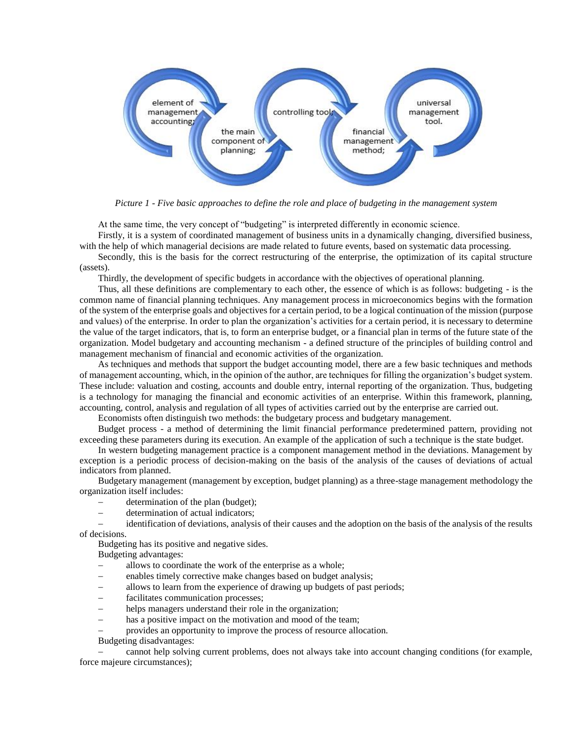

*Picture 1 - Five basic approaches to define the role and place of budgeting in the management system*

At the same time, the very concept of "budgeting" is interpreted differently in economic science.

Firstly, it is a system of coordinated management of business units in a dynamically changing, diversified business, with the help of which managerial decisions are made related to future events, based on systematic data processing.

Secondly, this is the basis for the correct restructuring of the enterprise, the optimization of its capital structure (assets).

Thirdly, the development of specific budgets in accordance with the objectives of operational planning.

Thus, all these definitions are complementary to each other, the essence of which is as follows: budgeting - is the common name of financial planning techniques. Any management process in microeconomics begins with the formation of the system of the enterprise goals and objectives for a certain period, to be a logical continuation of the mission (purpose and values) of the enterprise. In order to plan the organization's activities for a certain period, it is necessary to determine the value of the target indicators, that is, to form an enterprise budget, or a financial plan in terms of the future state of the organization. Model budgetary and accounting mechanism - a defined structure of the principles of building control and management mechanism of financial and economic activities of the organization.

As techniques and methods that support the budget accounting model, there are a few basic techniques and methods of management accounting, which, in the opinion of the author, are techniques for filling the organization's budget system. These include: valuation and costing, accounts and double entry, internal reporting of the organization. Thus, budgeting is a technology for managing the financial and economic activities of an enterprise. Within this framework, planning, accounting, control, analysis and regulation of all types of activities carried out by the enterprise are carried out.

Economists often distinguish two methods: the budgetary process and budgetary management.

Budget process - a method of determining the limit financial performance predetermined pattern, providing not exceeding these parameters during its execution. An example of the application of such a technique is the state budget.

In western budgeting management practice is a component management method in the deviations. Management by exception is a periodic process of decision-making on the basis of the analysis of the causes of deviations of actual indicators from planned.

Budgetary management (management by exception, budget planning) as a three-stage management methodology the organization itself includes:

- determination of the plan (budget);
- determination of actual indicators;

 identification of deviations, analysis of their causes and the adoption on the basis of the analysis of the results of decisions.

Budgeting has its positive and negative sides.

Budgeting advantages:

- allows to coordinate the work of the enterprise as a whole;
- enables timely corrective make changes based on budget analysis;
- allows to learn from the experience of drawing up budgets of past periods;
- facilitates communication processes;
- helps managers understand their role in the organization;
- has a positive impact on the motivation and mood of the team;
- provides an opportunity to improve the process of resource allocation.

Budgeting disadvantages:

 cannot help solving current problems, does not always take into account changing conditions (for example, force majeure circumstances);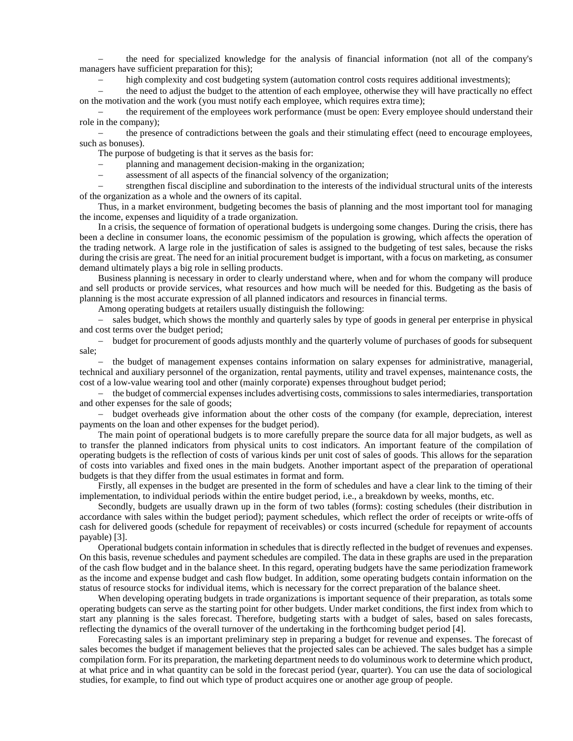the need for specialized knowledge for the analysis of financial information (not all of the company's managers have sufficient preparation for this);

high complexity and cost budgeting system (automation control costs requires additional investments);

 the need to adjust the budget to the attention of each employee, otherwise they will have practically no effect on the motivation and the work (you must notify each employee, which requires extra time);

 the requirement of the employees work performance (must be open: Every employee should understand their role in the company);

 the presence of contradictions between the goals and their stimulating effect (need to encourage employees, such as bonuses).

The purpose of budgeting is that it serves as the basis for:

planning and management decision-making in the organization;

assessment of all aspects of the financial solvency of the organization;

 strengthen fiscal discipline and subordination to the interests of the individual structural units of the interests of the organization as a whole and the owners of its capital.

Thus, in a market environment, budgeting becomes the basis of planning and the most important tool for managing the income, expenses and liquidity of a trade organization.

In a crisis, the sequence of formation of operational budgets is undergoing some changes. During the crisis, there has been a decline in consumer loans, the economic pessimism of the population is growing, which affects the operation of the trading network. A large role in the justification of sales is assigned to the budgeting of test sales, because the risks during the crisis are great. The need for an initial procurement budget is important, with a focus on marketing, as consumer demand ultimately plays a big role in selling products.

Business planning is necessary in order to clearly understand where, when and for whom the company will produce and sell products or provide services, what resources and how much will be needed for this. Budgeting as the basis of planning is the most accurate expression of all planned indicators and resources in financial terms.

Among operating budgets at retailers usually distinguish the following:

- sales budget, which shows the monthly and quarterly sales by type of goods in general per enterprise in physical and cost terms over the budget period;

 budget for procurement of goods adjusts monthly and the quarterly volume of purchases of goods for subsequent sale;

 the budget of management expenses contains information on salary expenses for administrative, managerial, technical and auxiliary personnel of the organization, rental payments, utility and travel expenses, maintenance costs, the cost of a low-value wearing tool and other (mainly corporate) expenses throughout budget period;

 the budget of commercial expenses includes advertising costs, commissions to sales intermediaries, transportation and other expenses for the sale of goods;

- budget overheads give information about the other costs of the company (for example, depreciation, interest payments on the loan and other expenses for the budget period).

The main point of operational budgets is to more carefully prepare the source data for all major budgets, as well as to transfer the planned indicators from physical units to cost indicators. An important feature of the compilation of operating budgets is the reflection of costs of various kinds per unit cost of sales of goods. This allows for the separation of costs into variables and fixed ones in the main budgets. Another important aspect of the preparation of operational budgets is that they differ from the usual estimates in format and form.

Firstly, all expenses in the budget are presented in the form of schedules and have a clear link to the timing of their implementation, to individual periods within the entire budget period, i.e., a breakdown by weeks, months, etc.

Secondly, budgets are usually drawn up in the form of two tables (forms): costing schedules (their distribution in accordance with sales within the budget period); payment schedules, which reflect the order of receipts or write-offs of cash for delivered goods (schedule for repayment of receivables) or costs incurred (schedule for repayment of accounts payable) [3].

Operational budgets contain information in schedules that is directly reflected in the budget of revenues and expenses. On this basis, revenue schedules and payment schedules are compiled. The data in these graphs are used in the preparation of the cash flow budget and in the balance sheet. In this regard, operating budgets have the same periodization framework as the income and expense budget and cash flow budget. In addition, some operating budgets contain information on the status of resource stocks for individual items, which is necessary for the correct preparation of the balance sheet.

When developing operating budgets in trade organizations is important sequence of their preparation, as totals some operating budgets can serve as the starting point for other budgets. Under market conditions, the first index from which to start any planning is the sales forecast. Therefore, budgeting starts with a budget of sales, based on sales forecasts, reflecting the dynamics of the overall turnover of the undertaking in the forthcoming budget period [4].

Forecasting sales is an important preliminary step in preparing a budget for revenue and expenses. The forecast of sales becomes the budget if management believes that the projected sales can be achieved. The sales budget has a simple compilation form. For its preparation, the marketing department needs to do voluminous work to determine which product, at what price and in what quantity can be sold in the forecast period (year, quarter). You can use the data of sociological studies, for example, to find out which type of product acquires one or another age group of people.